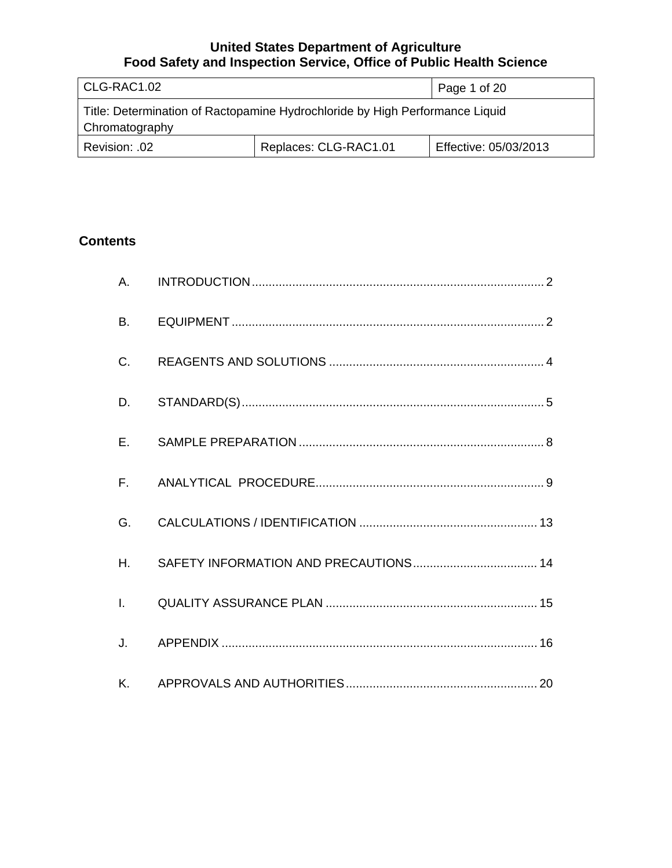| CLG-RAC1.02                                                                                    |                       | Page 1 of 20          |
|------------------------------------------------------------------------------------------------|-----------------------|-----------------------|
| Title: Determination of Ractopamine Hydrochloride by High Performance Liquid<br>Chromatography |                       |                       |
| Revision: .02                                                                                  | Replaces: CLG-RAC1.01 | Effective: 05/03/2013 |

# **Contents**

| A.           |  |
|--------------|--|
| <b>B.</b>    |  |
| $C_{\cdot}$  |  |
| D.           |  |
| E.           |  |
| $F_{\rm{H}}$ |  |
| G.           |  |
| H.           |  |
| $\mathbf{L}$ |  |
|              |  |
|              |  |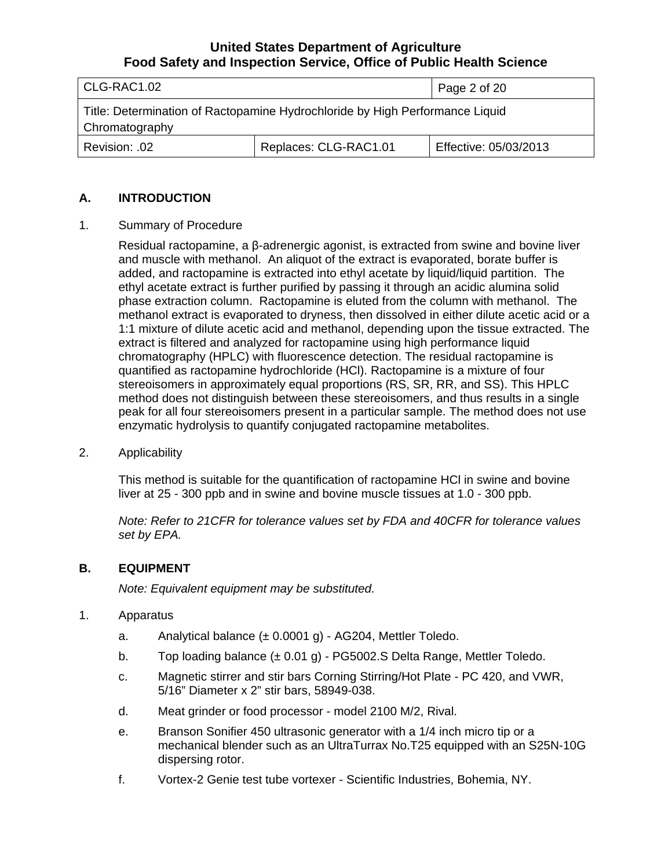<span id="page-1-0"></span>

| CLG-RAC1.02                                                                                    |                       | Page 2 of 20          |
|------------------------------------------------------------------------------------------------|-----------------------|-----------------------|
| Title: Determination of Ractopamine Hydrochloride by High Performance Liquid<br>Chromatography |                       |                       |
| .02. :Revision                                                                                 | Replaces: CLG-RAC1.01 | Effective: 05/03/2013 |

#### **A. INTRODUCTION**

1. Summary of Procedure

Residual ractopamine, a β-adrenergic agonist, is extracted from swine and bovine liver and muscle with methanol. An aliquot of the extract is evaporated, borate buffer is added, and ractopamine is extracted into ethyl acetate by liquid/liquid partition. The ethyl acetate extract is further purified by passing it through an acidic alumina solid phase extraction column. Ractopamine is eluted from the column with methanol. The methanol extract is evaporated to dryness, then dissolved in either dilute acetic acid or a 1:1 mixture of dilute acetic acid and methanol, depending upon the tissue extracted. The extract is filtered and analyzed for ractopamine using high performance liquid chromatography (HPLC) with fluorescence detection. The residual ractopamine is quantified as ractopamine hydrochloride (HCl). Ractopamine is a mixture of four stereoisomers in approximately equal proportions (RS, SR, RR, and SS). This HPLC method does not distinguish between these stereoisomers, and thus results in a single peak for all four stereoisomers present in a particular sample. The method does not use enzymatic hydrolysis to quantify conjugated ractopamine metabolites.

2. Applicability

This method is suitable for the quantification of ractopamine HCl in swine and bovine liver at 25 - 300 ppb and in swine and bovine muscle tissues at 1.0 - 300 ppb.

*Note: Refer to 21CFR for tolerance values set by FDA and 40CFR for tolerance values set by EPA.*

#### **B. EQUIPMENT**

*Note: Equivalent equipment may be substituted.*

- 1. Apparatus
	- a. Analytical balance  $(\pm 0.0001 \text{ g})$  AG204, Mettler Toledo.
	- b. Top loading balance  $(\pm 0.01 \text{ g})$  PG5002.S Delta Range, Mettler Toledo.
	- c. Magnetic stirrer and stir bars Corning Stirring/Hot Plate PC 420, and VWR, 5/16" Diameter x 2" stir bars, 58949-038.
	- d. Meat grinder or food processor model 2100 M/2, Rival.
	- e. Branson Sonifier 450 ultrasonic generator with a 1/4 inch micro tip or a mechanical blender such as an UltraTurrax No.T25 equipped with an S25N-10G dispersing rotor.
	- f. Vortex-2 Genie test tube vortexer Scientific Industries, Bohemia, NY.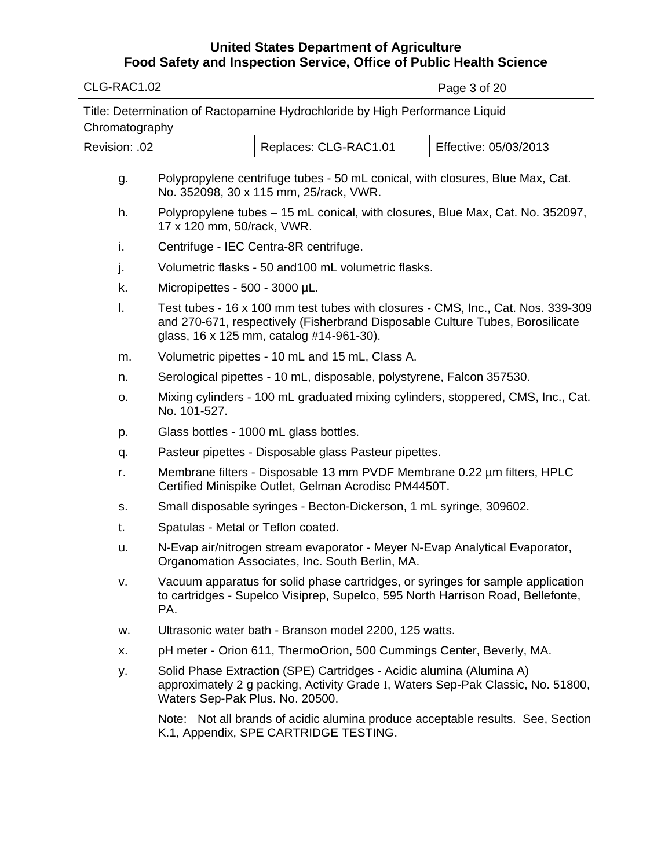| l CLG-RAC1.02                                                                                  |                       | Page 3 of 20          |
|------------------------------------------------------------------------------------------------|-----------------------|-----------------------|
| Title: Determination of Ractopamine Hydrochloride by High Performance Liquid<br>Chromatography |                       |                       |
| Revision: .02                                                                                  | Replaces: CLG-RAC1.01 | Effective: 05/03/2013 |
|                                                                                                |                       |                       |

- g. Polypropylene centrifuge tubes 50 mL conical, with closures, Blue Max, Cat. No. 352098, 30 x 115 mm, 25/rack, VWR.
- h. Polypropylene tubes 15 mL conical, with closures, Blue Max, Cat. No. 352097, 17 x 120 mm, 50/rack, VWR.
- i. Centrifuge IEC Centra-8R centrifuge.
- j. Volumetric flasks 50 and100 mL volumetric flasks.
- k. Micropipettes 500 3000 µL.
- l. Test tubes 16 x 100 mm test tubes with closures CMS, Inc., Cat. Nos. 339-309 and 270-671, respectively (Fisherbrand Disposable Culture Tubes, Borosilicate glass, 16 x 125 mm, catalog #14-961-30).
- m. Volumetric pipettes 10 mL and 15 mL, Class A.
- n. Serological pipettes 10 mL, disposable, polystyrene, Falcon 357530.
- o. Mixing cylinders 100 mL graduated mixing cylinders, stoppered, CMS, Inc., Cat. No. 101-527.
- p. Glass bottles 1000 mL glass bottles.
- q. Pasteur pipettes Disposable glass Pasteur pipettes.
- r. Membrane filters Disposable 13 mm PVDF Membrane 0.22 µm filters, HPLC Certified Minispike Outlet, Gelman Acrodisc PM4450T.
- s. Small disposable syringes Becton-Dickerson, 1 mL syringe, 309602.
- t. Spatulas Metal or Teflon coated.
- u. N-Evap air/nitrogen stream evaporator Meyer N-Evap Analytical Evaporator, Organomation Associates, Inc. South Berlin, MA.
- v. Vacuum apparatus for solid phase cartridges, or syringes for sample application to cartridges - Supelco Visiprep, Supelco, 595 North Harrison Road, Bellefonte, PA.
- w. Ultrasonic water bath Branson model 2200, 125 watts.
- x. pH meter Orion 611, ThermoOrion, 500 Cummings Center, Beverly, MA.
- y. Solid Phase Extraction (SPE) Cartridges Acidic alumina (Alumina A) approximately 2 g packing, Activity Grade I, Waters Sep-Pak Classic, No. 51800, Waters Sep-Pak Plus. No. 20500.

Note: Not all brands of acidic alumina produce acceptable results. See, Section K.1, Appendix, SPE CARTRIDGE TESTING.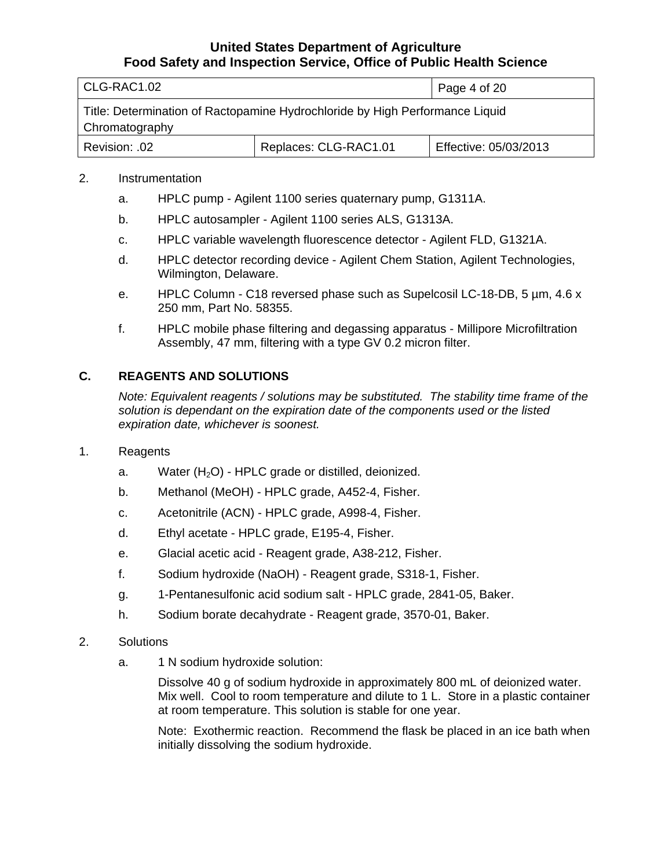<span id="page-3-0"></span>

| CLG-RAC1.02                                                                                    | Page 4 of 20          |                       |
|------------------------------------------------------------------------------------------------|-----------------------|-----------------------|
| Title: Determination of Ractopamine Hydrochloride by High Performance Liquid<br>Chromatography |                       |                       |
| Revision: .02                                                                                  | Replaces: CLG-RAC1.01 | Effective: 05/03/2013 |

#### 2. Instrumentation

- a. HPLC pump Agilent 1100 series quaternary pump, G1311A.
- b. HPLC autosampler Agilent 1100 series ALS, G1313A.
- c. HPLC variable wavelength fluorescence detector Agilent FLD, G1321A.
- d. HPLC detector recording device Agilent Chem Station, Agilent Technologies, Wilmington, Delaware.
- e. HPLC Column C18 reversed phase such as Supelcosil LC-18-DB, 5 µm, 4.6 x 250 mm, Part No. 58355.
- f. HPLC mobile phase filtering and degassing apparatus Millipore Microfiltration Assembly, 47 mm, filtering with a type GV 0.2 micron filter.

### **C. REAGENTS AND SOLUTIONS**

*Note: Equivalent reagents / solutions may be substituted. The stability time frame of the solution is dependant on the expiration date of the components used or the listed expiration date, whichever is soonest.*

- 1. Reagents
	- a. Water  $(H<sub>2</sub>O)$  HPLC grade or distilled, deionized.
	- b. Methanol (MeOH) HPLC grade, A452-4, Fisher.
	- c. Acetonitrile (ACN) HPLC grade, A998-4, Fisher.
	- d. Ethyl acetate HPLC grade, E195-4, Fisher.
	- e. Glacial acetic acid Reagent grade, A38-212, Fisher.
	- f. Sodium hydroxide (NaOH) Reagent grade, S318-1, Fisher.
	- g. 1-Pentanesulfonic acid sodium salt HPLC grade, 2841-05, Baker.
	- h. Sodium borate decahydrate Reagent grade, 3570-01, Baker.
- 2. Solutions
	- a. 1 N sodium hydroxide solution:

Dissolve 40 g of sodium hydroxide in approximately 800 mL of deionized water. Mix well. Cool to room temperature and dilute to 1 L. Store in a plastic container at room temperature. This solution is stable for one year.

Note: Exothermic reaction. Recommend the flask be placed in an ice bath when initially dissolving the sodium hydroxide.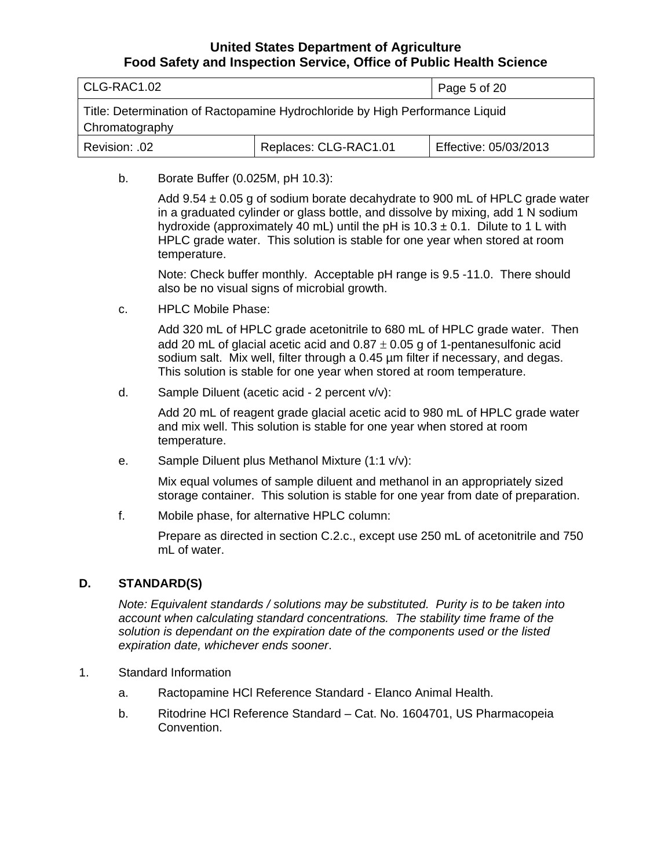<span id="page-4-0"></span>

| CLG-RAC1.02                                                                                    | Page 5 of 20          |                       |
|------------------------------------------------------------------------------------------------|-----------------------|-----------------------|
| Title: Determination of Ractopamine Hydrochloride by High Performance Liquid<br>Chromatography |                       |                       |
| Revision: .02                                                                                  | Replaces: CLG-RAC1.01 | Effective: 05/03/2013 |

b. Borate Buffer (0.025M, pH 10.3):

Add  $9.54 \pm 0.05$  g of sodium borate decahydrate to 900 mL of HPLC grade water in a graduated cylinder or glass bottle, and dissolve by mixing, add 1 N sodium hydroxide (approximately 40 mL) until the pH is  $10.3 \pm 0.1$ . Dilute to 1 L with HPLC grade water. This solution is stable for one year when stored at room temperature.

Note: Check buffer monthly. Acceptable pH range is 9.5 -11.0. There should also be no visual signs of microbial growth.

c. HPLC Mobile Phase:

Add 320 mL of HPLC grade acetonitrile to 680 mL of HPLC grade water. Then add 20 mL of glacial acetic acid and  $0.87 \pm 0.05$  g of 1-pentanesulfonic acid sodium salt. Mix well, filter through a 0.45 µm filter if necessary, and degas. This solution is stable for one year when stored at room temperature.

d. Sample Diluent (acetic acid - 2 percent v/v):

Add 20 mL of reagent grade glacial acetic acid to 980 mL of HPLC grade water and mix well. This solution is stable for one year when stored at room temperature.

e. Sample Diluent plus Methanol Mixture (1:1 v/v):

Mix equal volumes of sample diluent and methanol in an appropriately sized storage container. This solution is stable for one year from date of preparation.

f. Mobile phase, for alternative HPLC column:

Prepare as directed in section C.2.c., except use 250 mL of acetonitrile and 750 mL of water.

### **D. STANDARD(S)**

*Note: Equivalent standards / solutions may be substituted. Purity is to be taken into account when calculating standard concentrations. The stability time frame of the solution is dependant on the expiration date of the components used or the listed expiration date, whichever ends sooner*.

- 1. Standard Information
	- a. Ractopamine HCl Reference Standard Elanco Animal Health.
	- b. Ritodrine HCl Reference Standard Cat. No. 1604701, US Pharmacopeia Convention.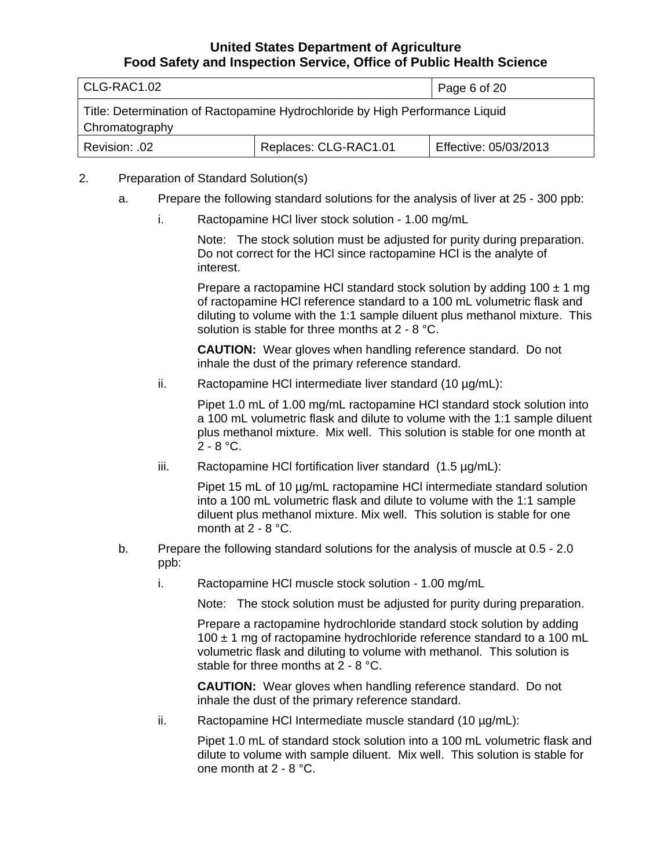| CLG-RAC1.02                                                                                    | Page 6 of 20          |                       |
|------------------------------------------------------------------------------------------------|-----------------------|-----------------------|
| Title: Determination of Ractopamine Hydrochloride by High Performance Liquid<br>Chromatography |                       |                       |
| Revision: .02                                                                                  | Replaces: CLG-RAC1.01 | Effective: 05/03/2013 |

### 2. Preparation of Standard Solution(s)

- a. Prepare the following standard solutions for the analysis of liver at 25 300 ppb:
	- i. Ractopamine HCl liver stock solution 1.00 mg/mL

Note: The stock solution must be adjusted for purity during preparation. Do not correct for the HCl since ractopamine HCl is the analyte of interest.

Prepare a ractopamine HCl standard stock solution by adding  $100 \pm 1$  mg of ractopamine HCl reference standard to a 100 mL volumetric flask and diluting to volume with the 1:1 sample diluent plus methanol mixture. This solution is stable for three months at 2 - 8 °C.

**CAUTION:** Wear gloves when handling reference standard. Do not inhale the dust of the primary reference standard.

ii. Ractopamine HCl intermediate liver standard (10 µg/mL):

Pipet 1.0 mL of 1.00 mg/mL ractopamine HCl standard stock solution into a 100 mL volumetric flask and dilute to volume with the 1:1 sample diluent plus methanol mixture. Mix well. This solution is stable for one month at  $2 - 8 °C$ .

iii. Ractopamine HCI fortification liver standard  $(1.5 \mu g/mL)$ :

Pipet 15 mL of 10  $\mu$ g/mL ractopamine HCI intermediate standard solution into a 100 mL volumetric flask and dilute to volume with the 1:1 sample diluent plus methanol mixture. Mix well. This solution is stable for one month at 2 - 8 °C.

- b. Prepare the following standard solutions for the analysis of muscle at 0.5 2.0 ppb:
	- i. Ractopamine HCl muscle stock solution 1.00 mg/mL

Note: The stock solution must be adjusted for purity during preparation.

Prepare a ractopamine hydrochloride standard stock solution by adding  $100 \pm 1$  mg of ractopamine hydrochloride reference standard to a 100 mL volumetric flask and diluting to volume with methanol. This solution is stable for three months at 2 - 8 °C.

**CAUTION:** Wear gloves when handling reference standard. Do not inhale the dust of the primary reference standard.

ii. Ractopamine HCl Intermediate muscle standard  $(10 \mu g/mL)$ :

Pipet 1.0 mL of standard stock solution into a 100 mL volumetric flask and dilute to volume with sample diluent. Mix well. This solution is stable for one month at 2 - 8 °C.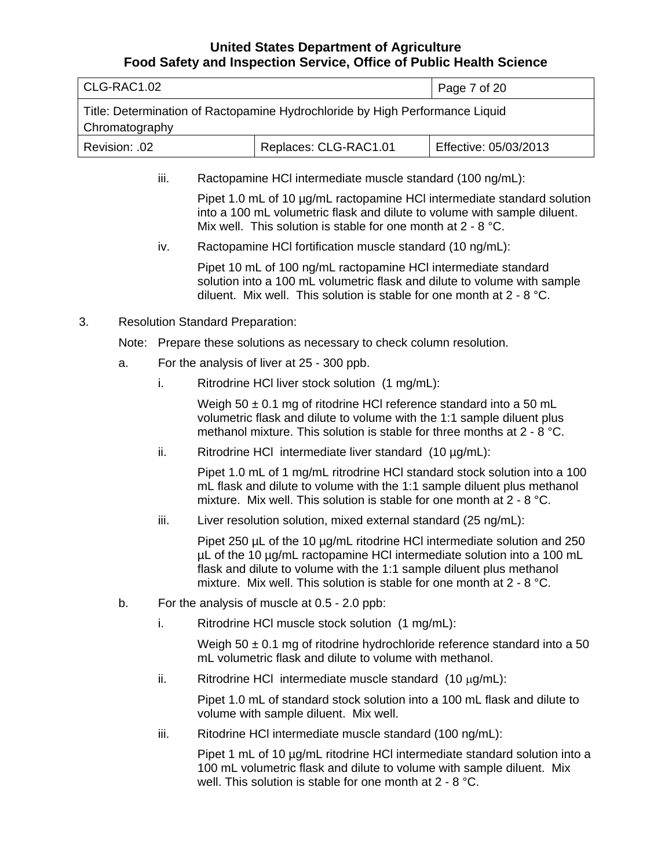| CLG-RAC1.02 |                                                                                                                                                                                                                                                                                                       |                                                                                                                                                                                                                                 | Page 7 of 20                            |                                                                                                                                                                                                                       |                       |
|-------------|-------------------------------------------------------------------------------------------------------------------------------------------------------------------------------------------------------------------------------------------------------------------------------------------------------|---------------------------------------------------------------------------------------------------------------------------------------------------------------------------------------------------------------------------------|-----------------------------------------|-----------------------------------------------------------------------------------------------------------------------------------------------------------------------------------------------------------------------|-----------------------|
|             | Title: Determination of Ractopamine Hydrochloride by High Performance Liquid<br>Chromatography                                                                                                                                                                                                        |                                                                                                                                                                                                                                 |                                         |                                                                                                                                                                                                                       |                       |
|             | Revision: .02                                                                                                                                                                                                                                                                                         |                                                                                                                                                                                                                                 |                                         | Replaces: CLG-RAC1.01                                                                                                                                                                                                 | Effective: 05/03/2013 |
|             | iii.<br>Ractopamine HCI intermediate muscle standard (100 ng/mL):                                                                                                                                                                                                                                     |                                                                                                                                                                                                                                 |                                         |                                                                                                                                                                                                                       |                       |
|             |                                                                                                                                                                                                                                                                                                       | Pipet 1.0 mL of 10 µg/mL ractopamine HCI intermediate standard solution<br>into a 100 mL volumetric flask and dilute to volume with sample diluent.<br>Mix well. This solution is stable for one month at 2 - 8 °C.             |                                         |                                                                                                                                                                                                                       |                       |
|             |                                                                                                                                                                                                                                                                                                       | iv.                                                                                                                                                                                                                             |                                         | Ractopamine HCI fortification muscle standard (10 ng/mL):                                                                                                                                                             |                       |
|             |                                                                                                                                                                                                                                                                                                       |                                                                                                                                                                                                                                 |                                         | Pipet 10 mL of 100 ng/mL ractopamine HCI intermediate standard<br>solution into a 100 mL volumetric flask and dilute to volume with sample<br>diluent. Mix well. This solution is stable for one month at $2 - 8$ °C. |                       |
| 3.          |                                                                                                                                                                                                                                                                                                       |                                                                                                                                                                                                                                 | <b>Resolution Standard Preparation:</b> |                                                                                                                                                                                                                       |                       |
|             |                                                                                                                                                                                                                                                                                                       |                                                                                                                                                                                                                                 |                                         | Note: Prepare these solutions as necessary to check column resolution.                                                                                                                                                |                       |
|             | a.                                                                                                                                                                                                                                                                                                    |                                                                                                                                                                                                                                 |                                         | For the analysis of liver at 25 - 300 ppb.                                                                                                                                                                            |                       |
|             |                                                                                                                                                                                                                                                                                                       | i.                                                                                                                                                                                                                              |                                         | Ritrodrine HCI liver stock solution (1 mg/mL):                                                                                                                                                                        |                       |
|             |                                                                                                                                                                                                                                                                                                       | Weigh 50 $\pm$ 0.1 mg of ritodrine HCI reference standard into a 50 mL<br>volumetric flask and dilute to volume with the 1:1 sample diluent plus<br>methanol mixture. This solution is stable for three months at $2 - 8$ °C.   |                                         |                                                                                                                                                                                                                       |                       |
|             |                                                                                                                                                                                                                                                                                                       | ii.<br>Ritrodrine HCI intermediate liver standard (10 µg/mL):                                                                                                                                                                   |                                         |                                                                                                                                                                                                                       |                       |
|             |                                                                                                                                                                                                                                                                                                       | Pipet 1.0 mL of 1 mg/mL ritrodrine HCI standard stock solution into a 100<br>mL flask and dilute to volume with the 1:1 sample diluent plus methanol<br>mixture. Mix well. This solution is stable for one month at $2 - 8$ °C. |                                         |                                                                                                                                                                                                                       |                       |
|             |                                                                                                                                                                                                                                                                                                       | iii.                                                                                                                                                                                                                            |                                         | Liver resolution solution, mixed external standard (25 ng/mL):                                                                                                                                                        |                       |
|             | Pipet 250 µL of the 10 µg/mL ritodrine HCI intermediate solution and 250<br>µL of the 10 µg/mL ractopamine HCI intermediate solution into a 100 mL<br>flask and dilute to volume with the 1:1 sample diluent plus methanol<br>mixture. Mix well. This solution is stable for one month at $2 - 8$ °C. |                                                                                                                                                                                                                                 |                                         |                                                                                                                                                                                                                       |                       |
|             | b.                                                                                                                                                                                                                                                                                                    |                                                                                                                                                                                                                                 |                                         | For the analysis of muscle at 0.5 - 2.0 ppb:                                                                                                                                                                          |                       |
|             |                                                                                                                                                                                                                                                                                                       | i.                                                                                                                                                                                                                              |                                         | Ritrodrine HCI muscle stock solution (1 mg/mL):                                                                                                                                                                       |                       |
|             |                                                                                                                                                                                                                                                                                                       |                                                                                                                                                                                                                                 |                                         | Weigh $50 \pm 0.1$ mg of ritodrine hydrochloride reference standard into a 50<br>mL volumetric flask and dilute to volume with methanol.                                                                              |                       |
|             |                                                                                                                                                                                                                                                                                                       | ii.                                                                                                                                                                                                                             |                                         | Ritrodrine HCI intermediate muscle standard $(10 \mu g/mL)$ :                                                                                                                                                         |                       |
|             |                                                                                                                                                                                                                                                                                                       |                                                                                                                                                                                                                                 |                                         | Pipet 1.0 mL of standard stock solution into a 100 mL flask and dilute to<br>volume with sample diluent. Mix well.                                                                                                    |                       |
|             |                                                                                                                                                                                                                                                                                                       | iii.                                                                                                                                                                                                                            |                                         | Ritodrine HCI intermediate muscle standard (100 ng/mL):                                                                                                                                                               |                       |
|             |                                                                                                                                                                                                                                                                                                       |                                                                                                                                                                                                                                 |                                         | Pipet 1 mL of 10 µg/mL ritodrine HCI intermediate standard solution into a<br>100 mL volumetric flask and dilute to volume with sample diluent. Mix                                                                   |                       |

well. This solution is stable for one month at 2 - 8 °C.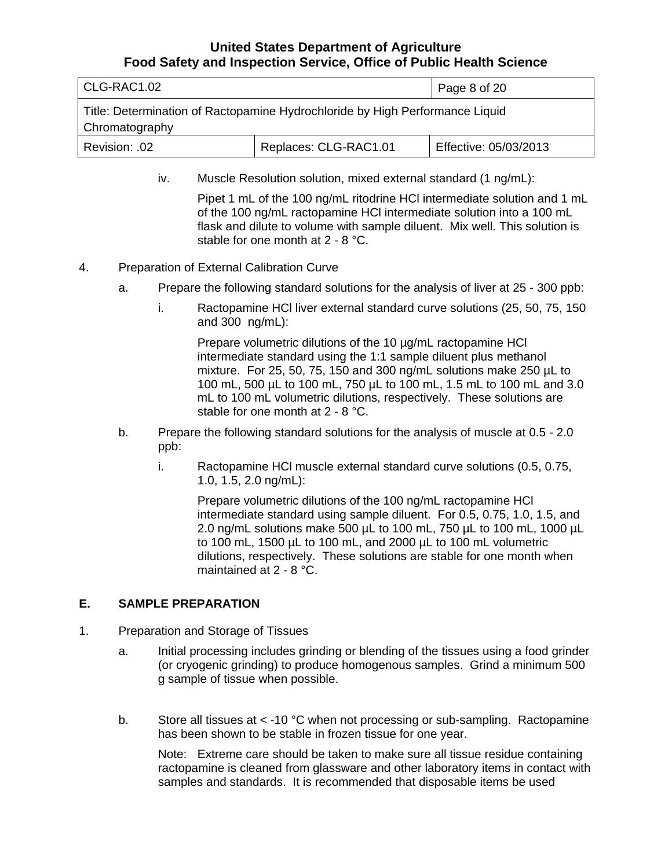<span id="page-7-0"></span>

| l CLG-RAC1.02                                                                                  | Page 8 of 20          |                       |
|------------------------------------------------------------------------------------------------|-----------------------|-----------------------|
| Title: Determination of Ractopamine Hydrochloride by High Performance Liquid<br>Chromatography |                       |                       |
| Revision: .02                                                                                  | Replaces: CLG-RAC1.01 | Effective: 05/03/2013 |

iv. Muscle Resolution solution, mixed external standard (1 ng/mL):

Pipet 1 mL of the 100 ng/mL ritodrine HCl intermediate solution and 1 mL of the 100 ng/mL ractopamine HCl intermediate solution into a 100 mL flask and dilute to volume with sample diluent. Mix well. This solution is stable for one month at 2 - 8 °C.

- 4. Preparation of External Calibration Curve
	- a. Prepare the following standard solutions for the analysis of liver at 25 300 ppb:
		- i. Ractopamine HCl liver external standard curve solutions (25, 50, 75, 150 and 300 ng/mL):

Prepare volumetric dilutions of the 10 µg/mL ractopamine HCl intermediate standard using the 1:1 sample diluent plus methanol mixture. For 25, 50, 75, 150 and 300 ng/mL solutions make 250 µL to 100 mL, 500 µL to 100 mL, 750 µL to 100 mL, 1.5 mL to 100 mL and 3.0 mL to 100 mL volumetric dilutions, respectively. These solutions are stable for one month at 2 - 8 °C.

- b. Prepare the following standard solutions for the analysis of muscle at 0.5 2.0 ppb:
	- i. Ractopamine HCl muscle external standard curve solutions (0.5, 0.75, 1.0, 1.5, 2.0 ng/mL):

Prepare volumetric dilutions of the 100 ng/mL ractopamine HCl intermediate standard using sample diluent. For 0.5, 0.75, 1.0, 1.5, and 2.0 ng/mL solutions make 500 µL to 100 mL, 750 µL to 100 mL, 1000 µL to 100 mL, 1500 µL to 100 mL, and 2000 µL to 100 mL volumetric dilutions, respectively. These solutions are stable for one month when maintained at 2 - 8 °C.

#### **E. SAMPLE PREPARATION**

- 1. Preparation and Storage of Tissues
	- a. Initial processing includes grinding or blending of the tissues using a food grinder (or cryogenic grinding) to produce homogenous samples. Grind a minimum 500 g sample of tissue when possible.
	- b. Store all tissues at  $\lt$  -10 °C when not processing or sub-sampling. Ractopamine has been shown to be stable in frozen tissue for one year.

Note: Extreme care should be taken to make sure all tissue residue containing ractopamine is cleaned from glassware and other laboratory items in contact with samples and standards. It is recommended that disposable items be used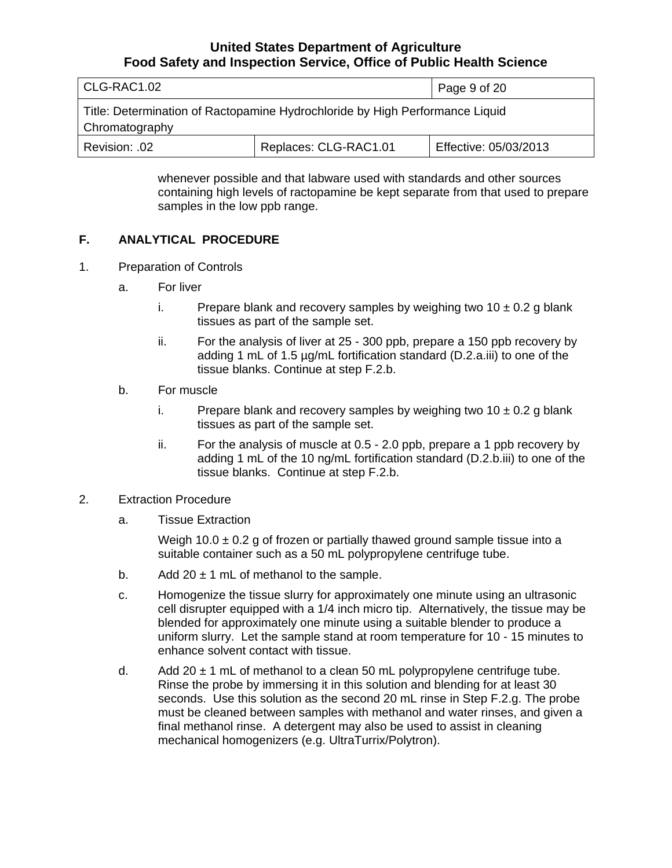<span id="page-8-0"></span>

| l CLG-RAC1.02                                                                                  |                       | Page 9 of 20          |
|------------------------------------------------------------------------------------------------|-----------------------|-----------------------|
| Title: Determination of Ractopamine Hydrochloride by High Performance Liquid<br>Chromatography |                       |                       |
| Revision: .02                                                                                  | Replaces: CLG-RAC1.01 | Effective: 05/03/2013 |

whenever possible and that labware used with standards and other sources containing high levels of ractopamine be kept separate from that used to prepare samples in the low ppb range.

#### **F. ANALYTICAL PROCEDURE**

- 1. Preparation of Controls
	- a. For liver
		- i. Prepare blank and recovery samples by weighing two  $10 \pm 0.2$  g blank tissues as part of the sample set.
		- ii. For the analysis of liver at 25 300 ppb, prepare a 150 ppb recovery by adding 1 mL of 1.5 µg/mL fortification standard (D.2.a.iii) to one of the tissue blanks. Continue at step F.2.b.
	- b. For muscle
		- i. Prepare blank and recovery samples by weighing two  $10 \pm 0.2$  g blank tissues as part of the sample set.
		- ii. For the analysis of muscle at 0.5 2.0 ppb, prepare a 1 ppb recovery by adding 1 mL of the 10 ng/mL fortification standard (D.2.b.iii) to one of the tissue blanks. Continue at step F.2.b.
- 2. Extraction Procedure
	- a. Tissue Extraction

Weigh 10.0  $\pm$  0.2 g of frozen or partially thawed ground sample tissue into a suitable container such as a 50 mL polypropylene centrifuge tube.

- b. Add  $20 \pm 1$  mL of methanol to the sample.
- c. Homogenize the tissue slurry for approximately one minute using an ultrasonic cell disrupter equipped with a 1/4 inch micro tip. Alternatively, the tissue may be blended for approximately one minute using a suitable blender to produce a uniform slurry. Let the sample stand at room temperature for 10 - 15 minutes to enhance solvent contact with tissue.
- d. Add 20  $\pm$  1 mL of methanol to a clean 50 mL polypropylene centrifuge tube. Rinse the probe by immersing it in this solution and blending for at least 30 seconds. Use this solution as the second 20 mL rinse in Step F.2.g. The probe must be cleaned between samples with methanol and water rinses, and given a final methanol rinse. A detergent may also be used to assist in cleaning mechanical homogenizers (e.g. UltraTurrix/Polytron).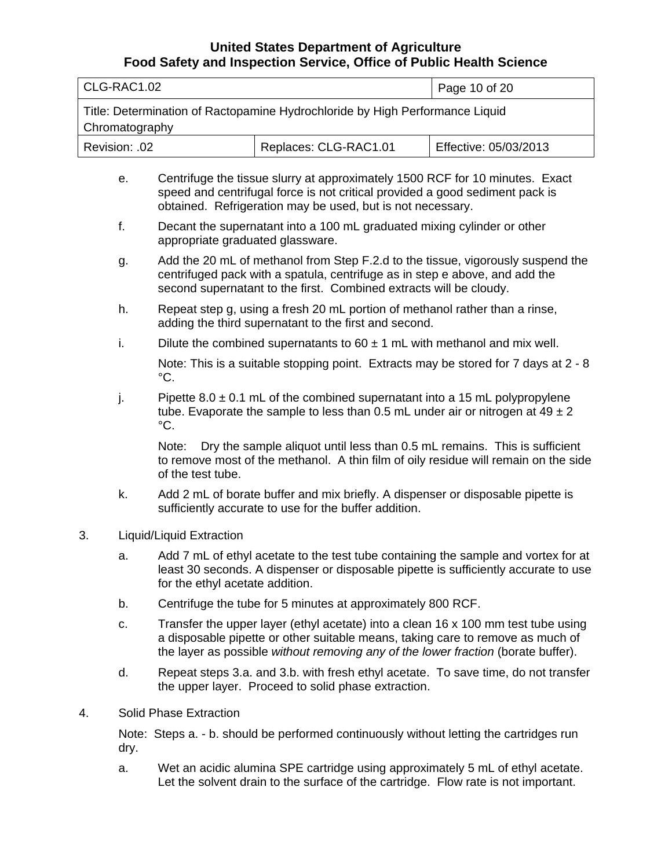| CLG-RAC1.02                                                                                    |  | Page 10 of 20         |
|------------------------------------------------------------------------------------------------|--|-----------------------|
| Title: Determination of Ractopamine Hydrochloride by High Performance Liquid<br>Chromatography |  |                       |
| Replaces: CLG-RAC1.01<br>Revision: .02                                                         |  | Effective: 05/03/2013 |
|                                                                                                |  |                       |

- e. Centrifuge the tissue slurry at approximately 1500 RCF for 10 minutes. Exact speed and centrifugal force is not critical provided a good sediment pack is obtained. Refrigeration may be used, but is not necessary.
- f. Decant the supernatant into a 100 mL graduated mixing cylinder or other appropriate graduated glassware.
- g. Add the 20 mL of methanol from Step F.2.d to the tissue, vigorously suspend the centrifuged pack with a spatula, centrifuge as in step e above, and add the second supernatant to the first. Combined extracts will be cloudy.
- h. Repeat step g, using a fresh 20 mL portion of methanol rather than a rinse, adding the third supernatant to the first and second.
- i. Dilute the combined supernatants to  $60 \pm 1$  mL with methanol and mix well.

Note: This is a suitable stopping point. Extracts may be stored for 7 days at 2 - 8  $^{\circ}$ C.

j. Pipette  $8.0 \pm 0.1$  mL of the combined supernatant into a 15 mL polypropylene tube. Evaporate the sample to less than 0.5 mL under air or nitrogen at  $49 \pm 2$  $^{\circ}$ C.

Note: Dry the sample aliquot until less than 0.5 mL remains. This is sufficient to remove most of the methanol. A thin film of oily residue will remain on the side of the test tube.

- k. Add 2 mL of borate buffer and mix briefly. A dispenser or disposable pipette is sufficiently accurate to use for the buffer addition.
- 3. Liquid/Liquid Extraction
	- a. Add 7 mL of ethyl acetate to the test tube containing the sample and vortex for at least 30 seconds. A dispenser or disposable pipette is sufficiently accurate to use for the ethyl acetate addition.
	- b. Centrifuge the tube for 5 minutes at approximately 800 RCF.
	- c. Transfer the upper layer (ethyl acetate) into a clean  $16 \times 100$  mm test tube using a disposable pipette or other suitable means, taking care to remove as much of the layer as possible *without removing any of the lower fraction* (borate buffer).
	- d. Repeat steps 3.a. and 3.b. with fresh ethyl acetate. To save time, do not transfer the upper layer. Proceed to solid phase extraction.
- 4. Solid Phase Extraction

Note: Steps a. - b. should be performed continuously without letting the cartridges run dry.

a. Wet an acidic alumina SPE cartridge using approximately 5 mL of ethyl acetate. Let the solvent drain to the surface of the cartridge. Flow rate is not important.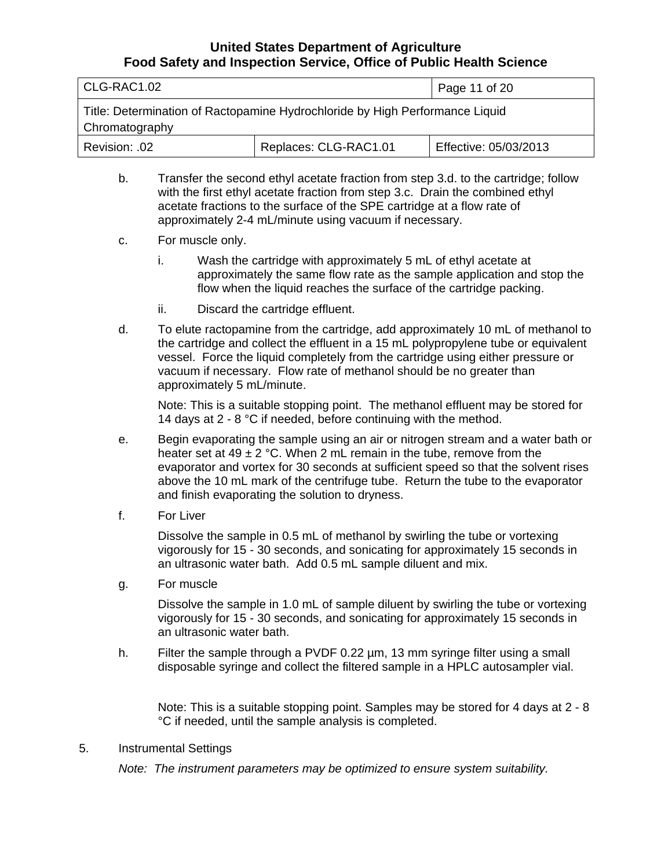| CLG-RAC1.02                                                                                    | Page 11 of 20         |                       |
|------------------------------------------------------------------------------------------------|-----------------------|-----------------------|
| Title: Determination of Ractopamine Hydrochloride by High Performance Liquid<br>Chromatography |                       |                       |
| Revision: .02                                                                                  | Replaces: CLG-RAC1.01 | Effective: 05/03/2013 |

- b. Transfer the second ethyl acetate fraction from step 3.d. to the cartridge; follow with the first ethyl acetate fraction from step 3.c. Drain the combined ethyl acetate fractions to the surface of the SPE cartridge at a flow rate of approximately 2-4 mL/minute using vacuum if necessary.
- c. For muscle only.
	- i. Wash the cartridge with approximately 5 mL of ethyl acetate at approximately the same flow rate as the sample application and stop the flow when the liquid reaches the surface of the cartridge packing.
	- ii. Discard the cartridge effluent.
- d. To elute ractopamine from the cartridge, add approximately 10 mL of methanol to the cartridge and collect the effluent in a 15 mL polypropylene tube or equivalent vessel. Force the liquid completely from the cartridge using either pressure or vacuum if necessary. Flow rate of methanol should be no greater than approximately 5 mL/minute.

Note: This is a suitable stopping point. The methanol effluent may be stored for 14 days at 2 - 8 °C if needed, before continuing with the method.

- e. Begin evaporating the sample using an air or nitrogen stream and a water bath or heater set at 49  $\pm$  2 °C. When 2 mL remain in the tube, remove from the evaporator and vortex for 30 seconds at sufficient speed so that the solvent rises above the 10 mL mark of the centrifuge tube. Return the tube to the evaporator and finish evaporating the solution to dryness.
- f. For Liver

Dissolve the sample in 0.5 mL of methanol by swirling the tube or vortexing vigorously for 15 - 30 seconds, and sonicating for approximately 15 seconds in an ultrasonic water bath. Add 0.5 mL sample diluent and mix.

g. For muscle

Dissolve the sample in 1.0 mL of sample diluent by swirling the tube or vortexing vigorously for 15 - 30 seconds, and sonicating for approximately 15 seconds in an ultrasonic water bath.

h. Filter the sample through a PVDF 0.22 µm, 13 mm syringe filter using a small disposable syringe and collect the filtered sample in a HPLC autosampler vial.

Note: This is a suitable stopping point. Samples may be stored for 4 days at 2 - 8 °C if needed, until the sample analysis is completed.

#### 5. Instrumental Settings

*Note: The instrument parameters may be optimized to ensure system suitability.*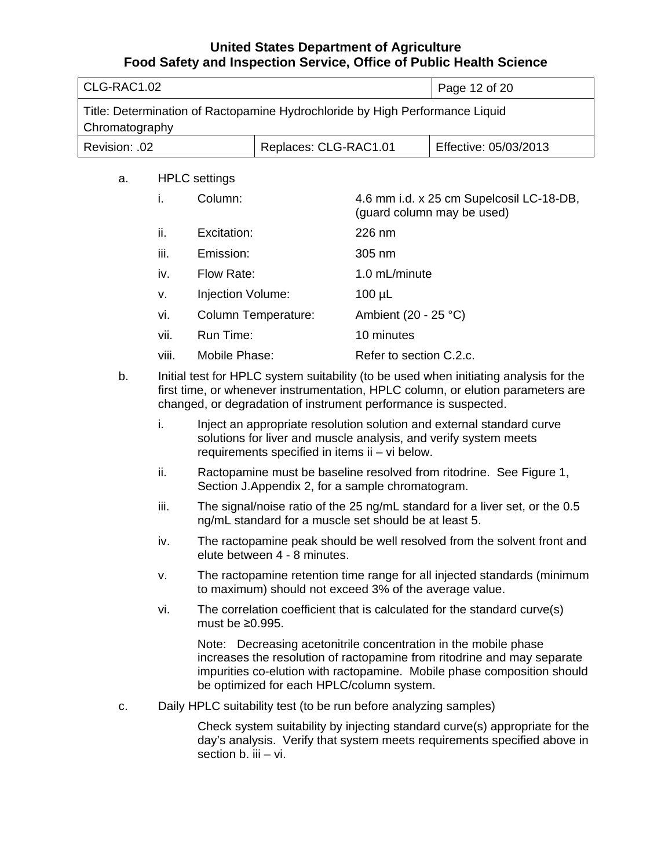| CLG-RAC1.02                                                                                    |  | Page 12 of 20 |  |
|------------------------------------------------------------------------------------------------|--|---------------|--|
| Title: Determination of Ractopamine Hydrochloride by High Performance Liquid<br>Chromatography |  |               |  |
| Replaces: CLG-RAC1.01<br>Effective: 05/03/2013<br>Revision: .02                                |  |               |  |

a. HPLC settings

| i.     | Column:             | 4.6 mm i.d. x 25 cm Supelcosil LC-18-DB,<br>(guard column may be used) |
|--------|---------------------|------------------------------------------------------------------------|
| ii.    | Excitation:         | $226$ nm                                                               |
| <br>Ш. | Emission:           | $305 \text{ nm}$                                                       |
| iv.    | Flow Rate:          | 1.0 mL/minute                                                          |
| v.     | Injection Volume:   | $100 \mu L$                                                            |
| vi.    | Column Temperature: | Ambient (20 - 25 $^{\circ}$ C)                                         |
| vii.   | Run Time:           | 10 minutes                                                             |
| viii.  | Mobile Phase:       | Refer to section C.2.c.                                                |

- b. Initial test for HPLC system suitability (to be used when initiating analysis for the first time, or whenever instrumentation, HPLC column, or elution parameters are changed, or degradation of instrument performance is suspected.
	- i. Inject an appropriate resolution solution and external standard curve solutions for liver and muscle analysis, and verify system meets requirements specified in items ii – vi below.
	- ii. Ractopamine must be baseline resolved from ritodrine. See Figure 1, Section J.Appendix 2, for a sample chromatogram.
	- iii. The signal/noise ratio of the 25 ng/mL standard for a liver set, or the 0.5 ng/mL standard for a muscle set should be at least 5.
	- iv. The ractopamine peak should be well resolved from the solvent front and elute between 4 - 8 minutes.
	- v. The ractopamine retention time range for all injected standards (minimum to maximum) should not exceed 3% of the average value.
	- vi. The correlation coefficient that is calculated for the standard curve(s) must be ≥0.995.

Note: Decreasing acetonitrile concentration in the mobile phase increases the resolution of ractopamine from ritodrine and may separate impurities co-elution with ractopamine. Mobile phase composition should be optimized for each HPLC/column system.

c. Daily HPLC suitability test (to be run before analyzing samples)

Check system suitability by injecting standard curve(s) appropriate for the day's analysis. Verify that system meets requirements specified above in section b. iii – vi.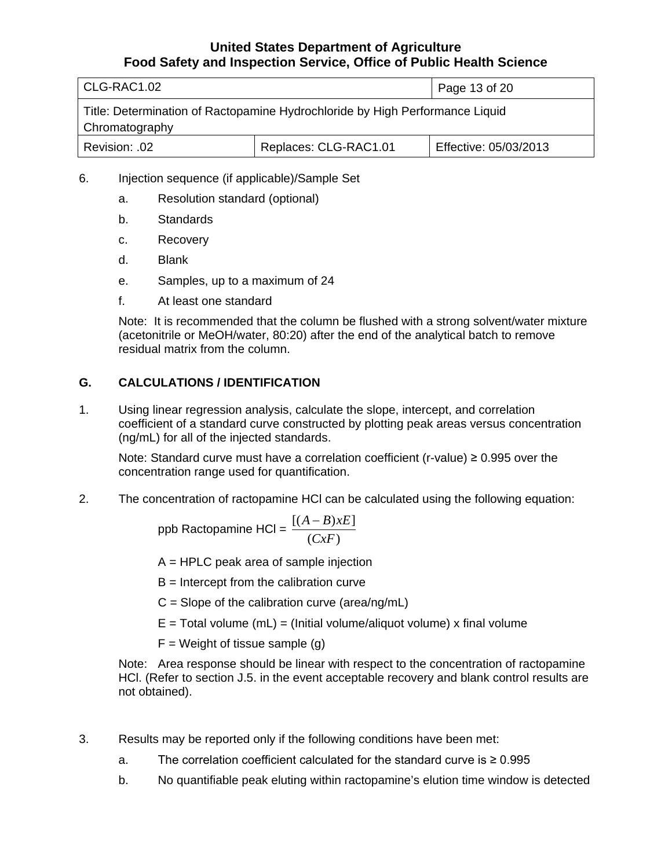<span id="page-12-0"></span>

| CLG-RAC1.02                                                                                    |                       | Page 13 of 20         |  |
|------------------------------------------------------------------------------------------------|-----------------------|-----------------------|--|
| Title: Determination of Ractopamine Hydrochloride by High Performance Liquid<br>Chromatography |                       |                       |  |
| Revision: .02                                                                                  | Replaces: CLG-RAC1.01 | Effective: 05/03/2013 |  |

### 6. Injection sequence (if applicable)/Sample Set

- a. Resolution standard (optional)
- b. Standards
- c. Recovery
- d. Blank
- e. Samples, up to a maximum of 24
- f. At least one standard

Note: It is recommended that the column be flushed with a strong solvent/water mixture (acetonitrile or MeOH/water, 80:20) after the end of the analytical batch to remove residual matrix from the column.

### **G. CALCULATIONS / IDENTIFICATION**

1. Using linear regression analysis, calculate the slope, intercept, and correlation coefficient of a standard curve constructed by plotting peak areas versus concentration (ng/mL) for all of the injected standards.

Note: Standard curve must have a correlation coefficient (r-value)  $\geq 0.995$  over the concentration range used for quantification.

2. The concentration of ractopamine HCl can be calculated using the following equation:

$$
ppb \text{ Ractopamine HCl} = \frac{[(A-B)xE]}{(CxF)}
$$

A = HPLC peak area of sample injection

 $B =$  Intercept from the calibration curve

 $C =$  Slope of the calibration curve (area/ng/mL)

- $E =$ Total volume (mL) = (Initial volume/aliquot volume) x final volume
- $F = Weight$  of tissue sample (g)

Note: Area response should be linear with respect to the concentration of ractopamine HCl. (Refer to section J.5. in the event acceptable recovery and blank control results are not obtained).

- 3. Results may be reported only if the following conditions have been met:
	- a. The correlation coefficient calculated for the standard curve is  $\geq 0.995$
	- b. No quantifiable peak eluting within ractopamine's elution time window is detected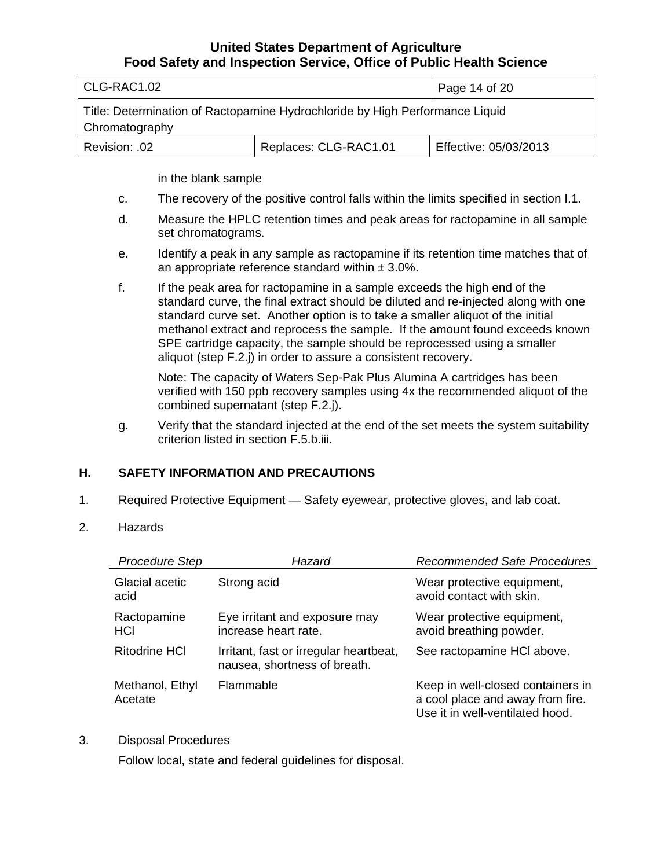<span id="page-13-0"></span>

| l CLG-RAC1.02                                                                                  |                       | Page 14 of 20         |  |
|------------------------------------------------------------------------------------------------|-----------------------|-----------------------|--|
| Title: Determination of Ractopamine Hydrochloride by High Performance Liquid<br>Chromatography |                       |                       |  |
| .02. :Revision                                                                                 | Replaces: CLG-RAC1.01 | Effective: 05/03/2013 |  |

in the blank sample

- c. The recovery of the positive control falls within the limits specified in section I.1.
- d. Measure the HPLC retention times and peak areas for ractopamine in all sample set chromatograms.
- e. Identify a peak in any sample as ractopamine if its retention time matches that of an appropriate reference standard within  $\pm 3.0\%$ .
- f. If the peak area for ractopamine in a sample exceeds the high end of the standard curve, the final extract should be diluted and re-injected along with one standard curve set. Another option is to take a smaller aliquot of the initial methanol extract and reprocess the sample. If the amount found exceeds known SPE cartridge capacity, the sample should be reprocessed using a smaller aliquot (step F.2.j) in order to assure a consistent recovery.

Note: The capacity of Waters Sep-Pak Plus Alumina A cartridges has been verified with 150 ppb recovery samples using 4x the recommended aliquot of the combined supernatant (step F.2.j).

g. Verify that the standard injected at the end of the set meets the system suitability criterion listed in section F.5.b.iii.

### **H. SAFETY INFORMATION AND PRECAUTIONS**

- 1. Required Protective Equipment Safety eyewear, protective gloves, and lab coat.
- 2. Hazards

| <b>Procedure Step</b>      | Hazard                                                                 | <b>Recommended Safe Procedures</b>                                                                       |
|----------------------------|------------------------------------------------------------------------|----------------------------------------------------------------------------------------------------------|
| Glacial acetic<br>acid     | Strong acid                                                            | Wear protective equipment,<br>avoid contact with skin.                                                   |
| Ractopamine<br>HCI         | Eye irritant and exposure may<br>increase heart rate.                  | Wear protective equipment,<br>avoid breathing powder.                                                    |
| <b>Ritodrine HCI</b>       | Irritant, fast or irregular heartbeat,<br>nausea, shortness of breath. | See ractopamine HCI above.                                                                               |
| Methanol, Ethyl<br>Acetate | Flammable                                                              | Keep in well-closed containers in<br>a cool place and away from fire.<br>Use it in well-ventilated hood. |

3. Disposal Procedures

Follow local, state and federal guidelines for disposal.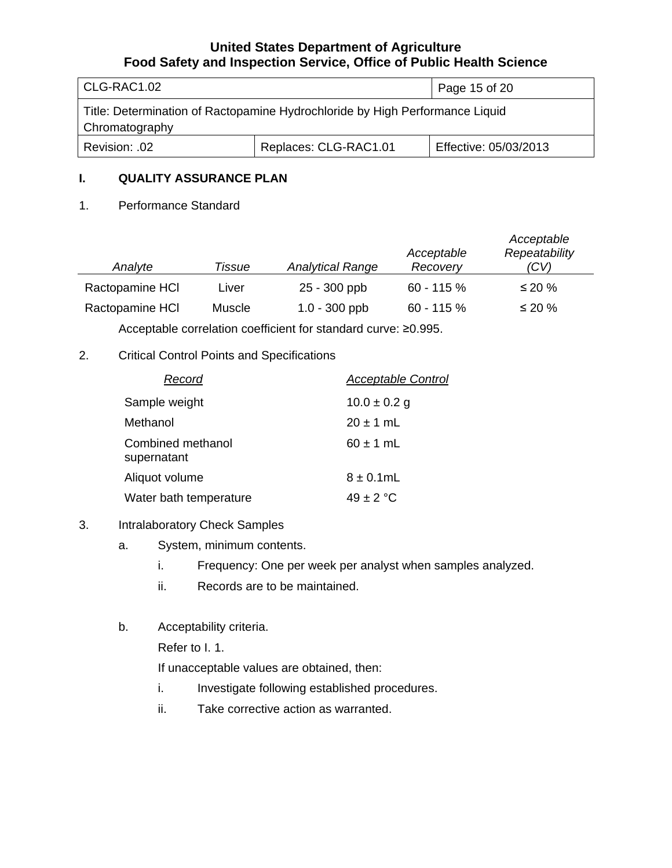<span id="page-14-0"></span>

| CLG-RAC1.02                                                                                    |                       | Page 15 of 20         |
|------------------------------------------------------------------------------------------------|-----------------------|-----------------------|
| Title: Determination of Ractopamine Hydrochloride by High Performance Liquid<br>Chromatography |                       |                       |
| Revision: .02                                                                                  | Replaces: CLG-RAC1.01 | Effective: 05/03/2013 |

#### **I. QUALITY ASSURANCE PLAN**

#### 1. Performance Standard

| Analyte         | Tissue        | <b>Analytical Range</b> | Acceptable<br>Recovery | Acceptable<br>Repeatability<br>(CV) |
|-----------------|---------------|-------------------------|------------------------|-------------------------------------|
| Ractopamine HCI | Liver         | 25 - 300 ppb            | $60 - 115%$            | ≤ 20 %                              |
| Ractopamine HCI | <b>Muscle</b> | $1.0 - 300$ ppb         | $60 - 115 \%$          | $\leq$ 20 %                         |

Acceptable correlation coefficient for standard curve: ≥0.995.

### 2. Critical Control Points and Specifications

| Record                           | Acceptable Control |
|----------------------------------|--------------------|
| Sample weight                    | $10.0 \pm 0.2$ g   |
| Methanol                         | $20 \pm 1$ mL      |
| Combined methanol<br>supernatant | $60 \pm 1$ mL      |
| Aliquot volume                   | $8 \pm 0.1$ mL     |
| Water bath temperature           | $49 \pm 2 °C$      |

#### 3. Intralaboratory Check Samples

- a. System, minimum contents.
	- i. Frequency: One per week per analyst when samples analyzed.
	- ii. Records are to be maintained.
- b. Acceptability criteria.

Refer to I. 1.

If unacceptable values are obtained, then:

- i. Investigate following established procedures.
- ii. Take corrective action as warranted.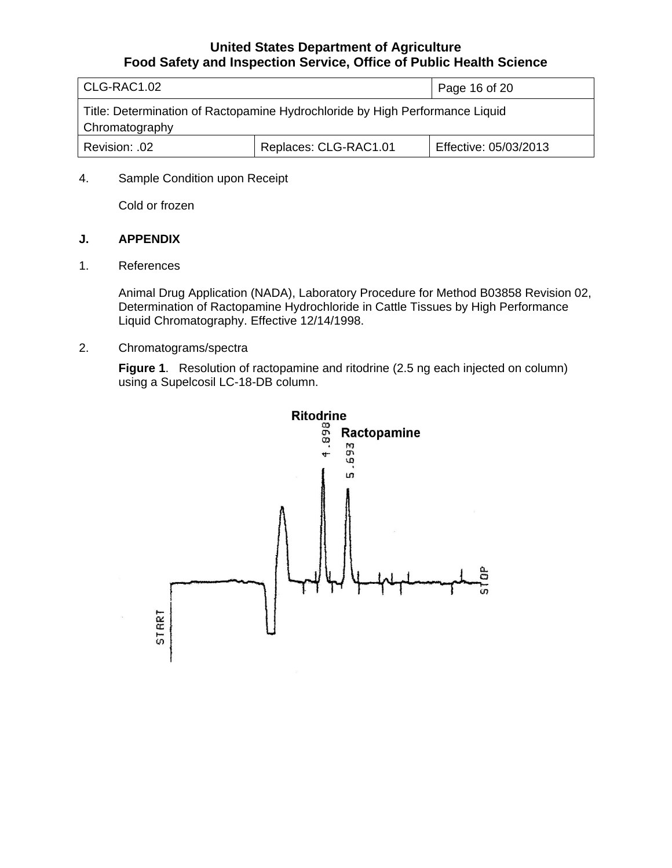<span id="page-15-0"></span>

| CLG-RAC1.02                                                                                    |                       | Page 16 of 20         |  |
|------------------------------------------------------------------------------------------------|-----------------------|-----------------------|--|
| Title: Determination of Ractopamine Hydrochloride by High Performance Liquid<br>Chromatography |                       |                       |  |
| Revision: .02                                                                                  | Replaces: CLG-RAC1.01 | Effective: 05/03/2013 |  |

#### 4. Sample Condition upon Receipt

Cold or frozen

#### **J. APPENDIX**

1. References

Animal Drug Application (NADA), Laboratory Procedure for Method B03858 Revision 02, Determination of Ractopamine Hydrochloride in Cattle Tissues by High Performance Liquid Chromatography. Effective 12/14/1998.

2. Chromatograms/spectra

**Figure 1**. Resolution of ractopamine and ritodrine (2.5 ng each injected on column) using a Supelcosil LC-18-DB column.

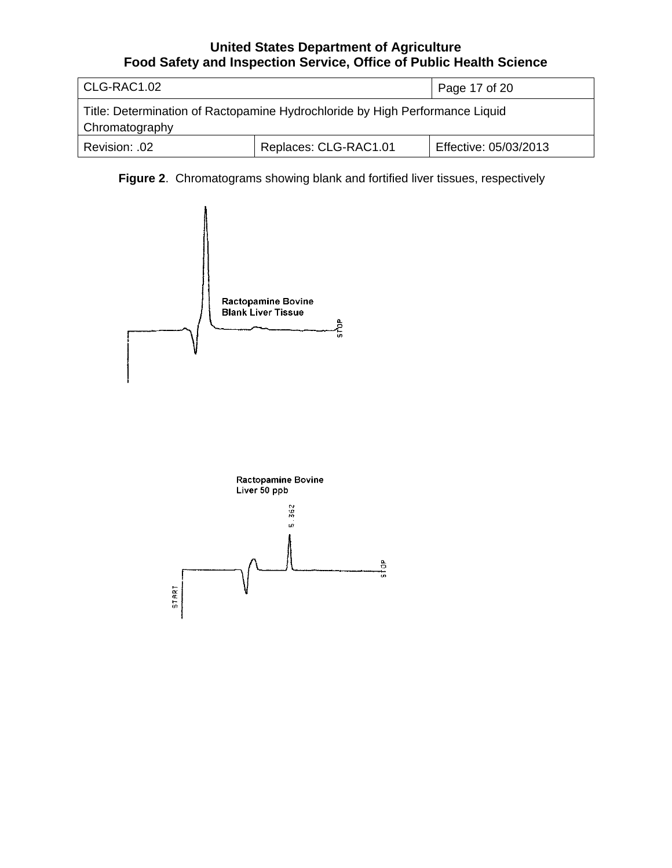| CLG-RAC1.02                                                                                    |                       | Page 17 of 20         |  |
|------------------------------------------------------------------------------------------------|-----------------------|-----------------------|--|
| Title: Determination of Ractopamine Hydrochloride by High Performance Liquid<br>Chromatography |                       |                       |  |
| Revision: .02                                                                                  | Replaces: CLG-RAC1.01 | Effective: 05/03/2013 |  |

**Figure 2**. Chromatograms showing blank and fortified liver tissues, respectively

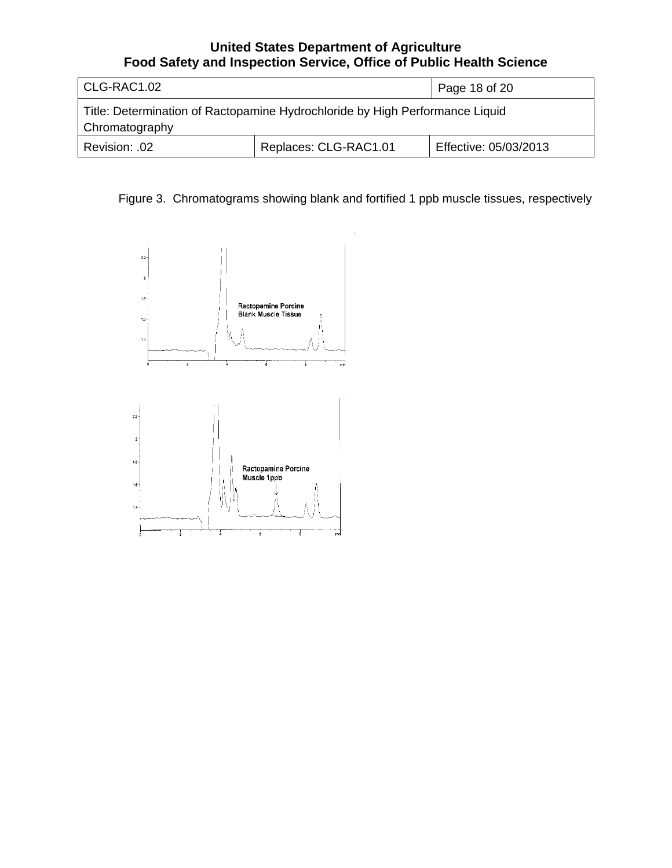| CLG-RAC1.02                                                                                    |                       | Page 18 of 20         |
|------------------------------------------------------------------------------------------------|-----------------------|-----------------------|
| Title: Determination of Ractopamine Hydrochloride by High Performance Liquid<br>Chromatography |                       |                       |
| Revision: .02                                                                                  | Replaces: CLG-RAC1.01 | Effective: 05/03/2013 |

Figure 3. Chromatograms showing blank and fortified 1 ppb muscle tissues, respectively

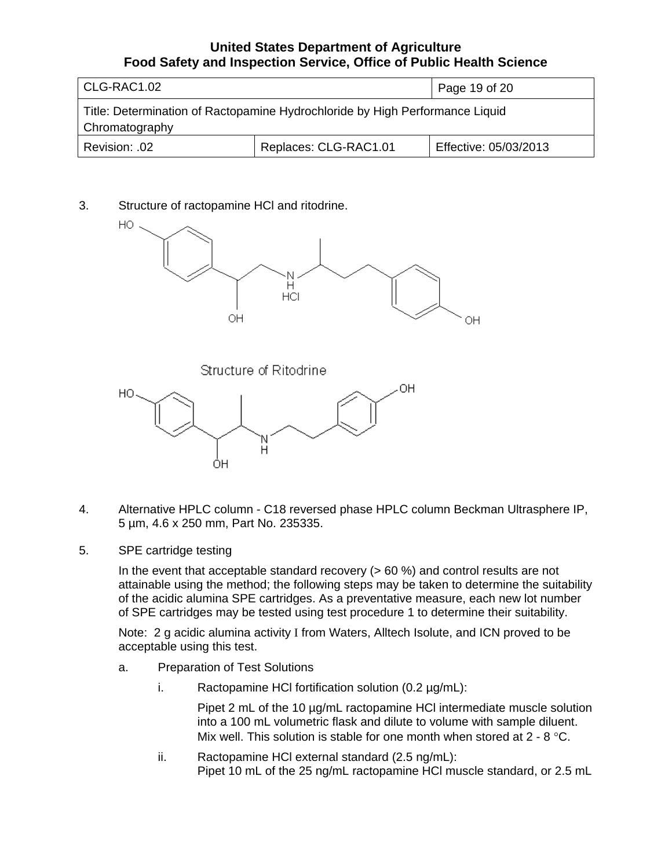| CLG-RAC1.02                                                                                    |                       | Page 19 of 20         |  |
|------------------------------------------------------------------------------------------------|-----------------------|-----------------------|--|
| Title: Determination of Ractopamine Hydrochloride by High Performance Liquid<br>Chromatography |                       |                       |  |
| Revision: .02                                                                                  | Replaces: CLG-RAC1.01 | Effective: 05/03/2013 |  |

3. Structure of ractopamine HCl and ritodrine.



Structure of Ritodrine



- 4. Alternative HPLC column C18 reversed phase HPLC column Beckman Ultrasphere IP, 5 µm, 4.6 x 250 mm, Part No. 235335.
- 5. SPE cartridge testing

In the event that acceptable standard recovery ( $> 60 \%$ ) and control results are not attainable using the method; the following steps may be taken to determine the suitability of the acidic alumina SPE cartridges. As a preventative measure, each new lot number of SPE cartridges may be tested using test procedure 1 to determine their suitability.

Note: 2 g acidic alumina activity I from Waters, Alltech Isolute, and ICN proved to be acceptable using this test.

- a. Preparation of Test Solutions
	- i. Ractopamine HCI fortification solution  $(0.2 \mu g/mL)$ :

Pipet 2 mL of the 10  $\mu$ g/mL ractopamine HCI intermediate muscle solution into a 100 mL volumetric flask and dilute to volume with sample diluent. Mix well. This solution is stable for one month when stored at 2 - 8 °C.

ii. Ractopamine HCl external standard (2.5 ng/mL): Pipet 10 mL of the 25 ng/mL ractopamine HCl muscle standard, or 2.5 mL